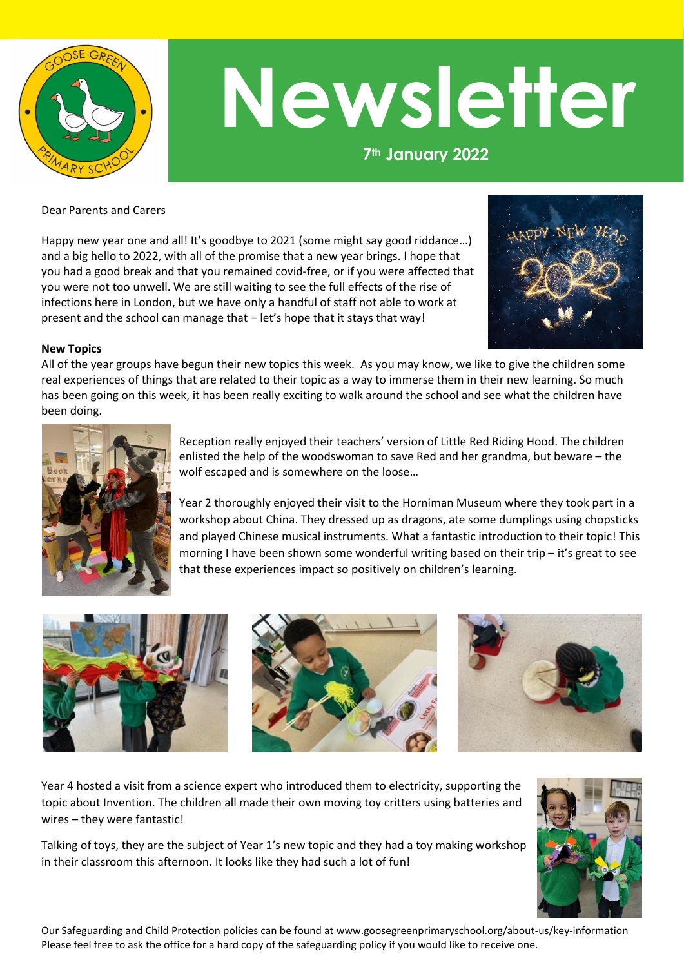

## **Newsletter**

**7th January 2022**

Dear Parents and Carers

Happy new year one and all! It's goodbye to 2021 (some might say good riddance...) and a big hello to 2022, with all of the promise that a new year brings. I hope that you had a good break and that you remained covid-free, or if you were affected that you were not too unwell. We are still waiting to see the full effects of the rise of infections here in London, but we have only a handful of staff not able to work at present and the school can manage that – let's hope that it stays that way!



## **New Topics**

All of the year groups have begun their new topics this week. As you may know, we like to give the children some real experiences of things that are related to their topic as a way to immerse them in their new learning. So much has been going on this week, it has been really exciting to walk around the school and see what the children have been doing.



Reception really enjoyed their teachers' version of Little Red Riding Hood. The children enlisted the help of the woodswoman to save Red and her grandma, but beware – the wolf escaped and is somewhere on the loose…

Year 2 thoroughly enjoyed their visit to the Horniman Museum where they took part in a workshop about China. They dressed up as dragons, ate some dumplings using chopsticks and played Chinese musical instruments. What a fantastic introduction to their topic! This morning I have been shown some wonderful writing based on their trip - it's great to see that these experiences impact so positively on children's learning.



Year 4 hosted a visit from a science expert who introduced them to electricity, supporting the topic about Invention. The children all made their own moving toy critters using batteries and wires – they were fantastic!

Talking of toys, they are the subject of Year 1's new topic and they had a toy making workshop in their classroom this afternoon. It looks like they had such a lot of fun!



Our Safeguarding and Child Protection policies can be found at www.goosegreenprimaryschool.org/about-us/key-information Please feel free to ask the office for a hard copy of the safeguarding policy if you would like to receive one.